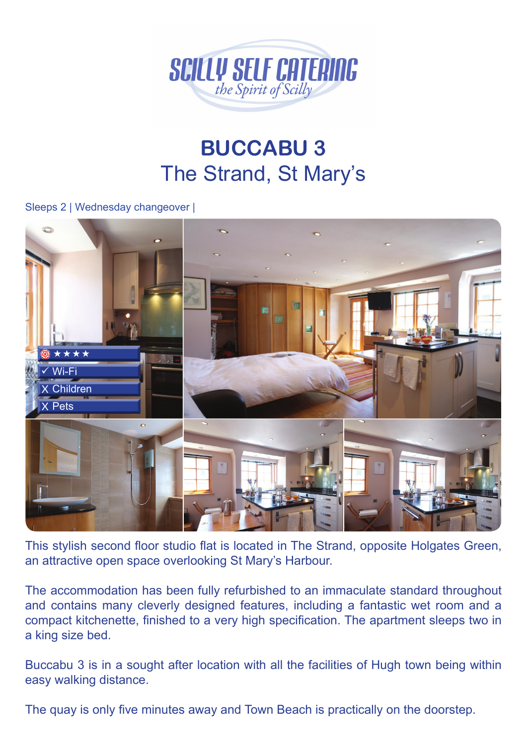

## **BUCCABU 3** The Strand, St Mary's

## Sleeps 2 | Wednesday changeover |



This stylish second floor studio flat is located in The Strand, opposite Holgates Green, an attractive open space overlooking St Mary's Harbour.

The accommodation has been fully refurbished to an immaculate standard throughout and contains many cleverly designed features, including a fantastic wet room and a compact kitchenette, finished to a very high specification. The apartment sleeps two in a king size bed.

Buccabu 3 is in a sought after location with all the facilities of Hugh town being within easy walking distance.

The quay is only five minutes away and Town Beach is practically on the doorstep.